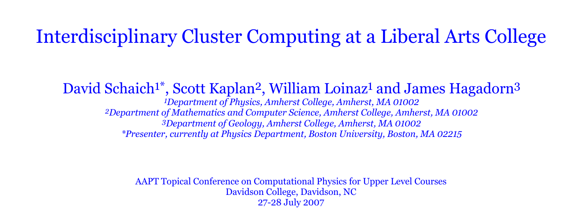# Interdisciplinary Cluster Computing at a Liberal Arts College

### David Schaich<sup>1\*</sup>, Scott Kaplan<sup>2</sup>, William Loinaz<sup>1</sup> and James Hagadorn<sup>3</sup> *1Department of Physics, Amherst College, Amherst, MA 01002 2Department of Mathematics and Computer Science, Amherst College, Amherst, MA 01002 3Department of Geology, Amherst College, Amherst, MA 01002 \*Presenter, currently at Physics Department, Boston University, Boston, MA 02215*

AAPT Topical Conference on Computational Physics for Upper Level Courses Davidson College, Davidson, NC 27-28 July 2007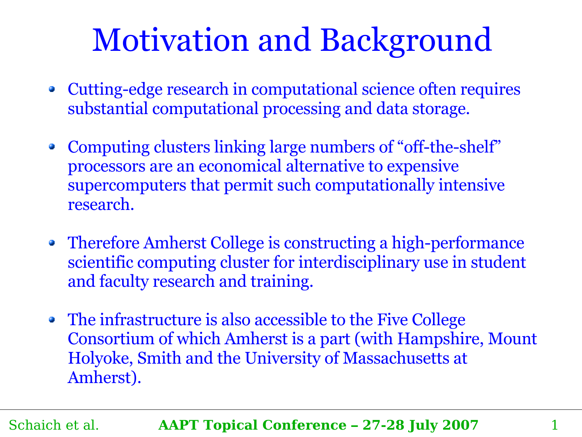# Motivation and Background

- Cutting-edge research in computational science often requires substantial computational processing and data storage.
- Computing clusters linking large numbers of "off-the-shelf" processors are an economical alternative to expensive supercomputers that permit such computationally intensive research.
- Therefore Amherst College is constructing a high-performance scientific computing cluster for interdisciplinary use in student and faculty research and training.
- The infrastructure is also accessible to the Five College Consortium of which Amherst is a part (with Hampshire, Mount Holyoke, Smith and the University of Massachusetts at Amherst).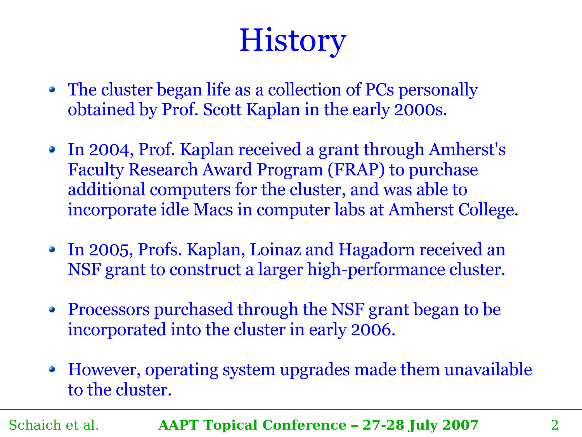# **History**

- The cluster began life as a collection of PCs personally obtained by Prof. Scott Kaplan in the early 2000s.
- In 2004, Prof. Kaplan received a grant through Amherst's Faculty Research Award Program (FRAP) to purchase additional computers for the cluster, and was able to incorporate idle Macs in computer labs at Amherst College.
- In 2005, Profs. Kaplan, Loinaz and Hagadorn received an NSF grant to construct a larger high-performance cluster.
- Processors purchased through the NSF grant began to be incorporated into the cluster in early 2006.
- However, operating system upgrades made them unavailable to the cluster.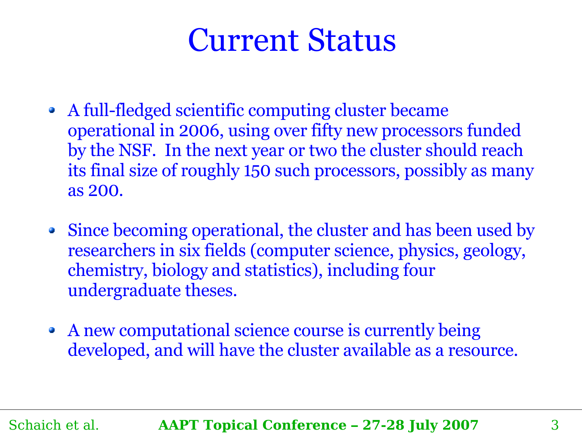### Current Status

- A full-fledged scientific computing cluster became operational in 2006, using over fifty new processors funded by the NSF. In the next year or two the cluster should reach its final size of roughly 150 such processors, possibly as many as 200.
- Since becoming operational, the cluster and has been used by researchers in six fields (computer science, physics, geology, chemistry, biology and statistics), including four undergraduate theses.
- A new computational science course is currently being developed, and will have the cluster available as a resource.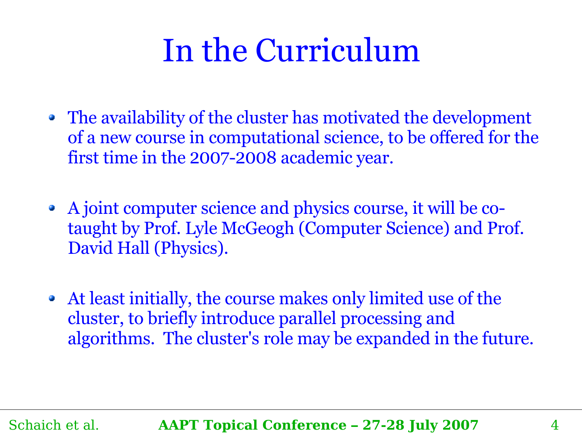### In the Curriculum

- The availability of the cluster has motivated the development of a new course in computational science, to be offered for the first time in the 2007-2008 academic year.
- A joint computer science and physics course, it will be cotaught by Prof. Lyle McGeogh (Computer Science) and Prof. David Hall (Physics).
- At least initially, the course makes only limited use of the cluster, to briefly introduce parallel processing and algorithms. The cluster's role may be expanded in the future.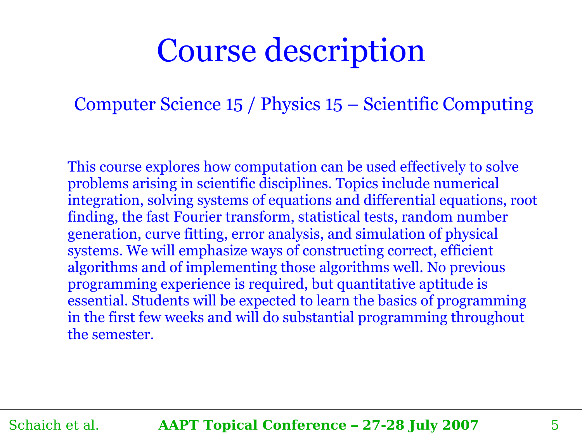### Course description

### Computer Science 15 / Physics 15 – Scientific Computing

This course explores how computation can be used effectively to solve problems arising in scientific disciplines. Topics include numerical integration, solving systems of equations and differential equations, root finding, the fast Fourier transform, statistical tests, random number generation, curve fitting, error analysis, and simulation of physical systems. We will emphasize ways of constructing correct, efficient algorithms and of implementing those algorithms well. No previous programming experience is required, but quantitative aptitude is essential. Students will be expected to learn the basics of programming in the first few weeks and will do substantial programming throughout the semester.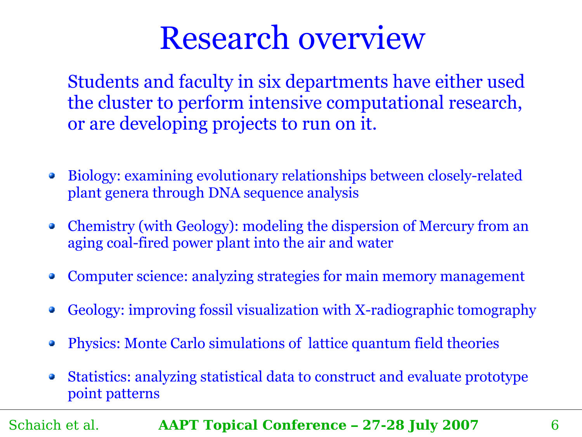### Research overview

Students and faculty in six departments have either used the cluster to perform intensive computational research, or are developing projects to run on it.

- Biology: examining evolutionary relationships between closely-related  $\mathbf{r}$ plant genera through DNA sequence analysis
- Chemistry (with Geology): modeling the dispersion of Mercury from an  $\mathbf{r}$ aging coal-fired power plant into the air and water
- Computer science: analyzing strategies for main memory management  $\mathbf{r}$
- Geology: improving fossil visualization with X-radiographic tomography  $\mathcal{L}$
- Physics: Monte Carlo simulations of lattice quantum field theories ٥
- Statistics: analyzing statistical data to construct and evaluate prototype  $\mathcal{L}$ point patterns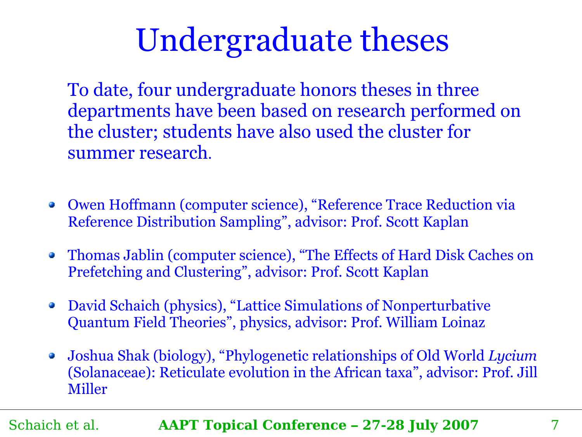## Undergraduate theses

To date, four undergraduate honors theses in three departments have been based on research performed on the cluster; students have also used the cluster for summer research.

- Owen Hoffmann (computer science), "Reference Trace Reduction via Reference Distribution Sampling" , advisor: Prof. Scott Kaplan
- Thomas Jablin (computer science), "The Effects of Hard Disk Caches on  $\mathcal{L}$ Prefetching and Clustering" , advisor: Prof. Scott Kaplan
- David Schaich (physics), "Lattice Simulations of Nonperturbative  $\mathcal{A}$ Quantum Field Theories" , physics, advisor: Prof. William Loinaz
- Joshua Shak (biology), "Phylogenetic relationships of Old World *Lycium*  $\mathcal{L}$ (Solanaceae): Reticulate evolution in the African taxa" , advisor: Prof. Jill Miller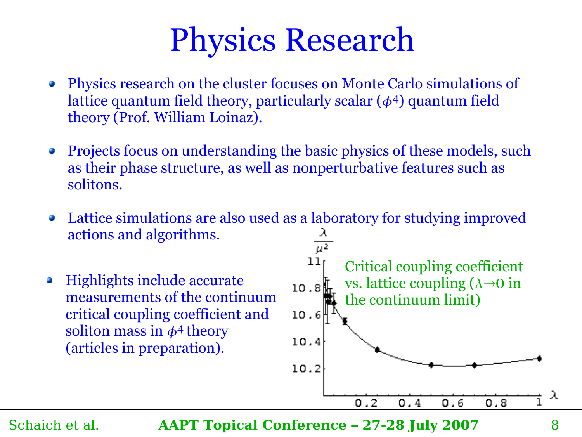## Physics Research

- Physics research on the cluster focuses on Monte Carlo simulations of  $\bullet$ lattice quantum field theory, particularly scalar  $(\phi^4)$  quantum field theory (Prof. William Loinaz).
- Projects focus on understanding the basic physics of these models, such  $\mathbf{r}$ as their phase structure, as well as nonperturbative features such as solitons.
- Lattice simulations are also used as a laboratory for studying improved  $\mathcal{L}$ actions and algorithms.  $\lambda$
- Highlights include accurate  $\mathcal{L}$ measurements of the continuum critical coupling coefficient and soliton mass in  $\phi^4$  theory (articles in preparation).



#### Schaich et al. **AAPT Topical Conference – 27-28 July 2007** 8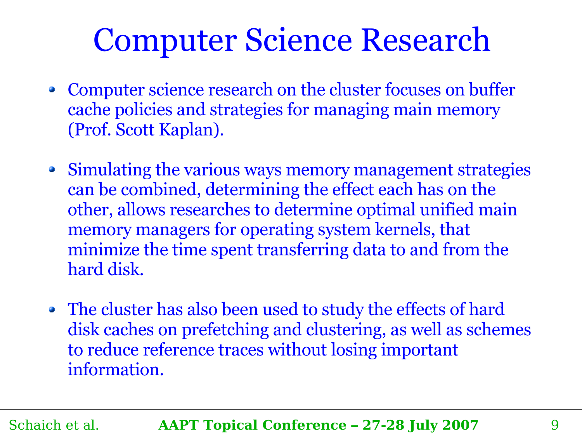### Computer Science Research

- Computer science research on the cluster focuses on buffer cache policies and strategies for managing main memory (Prof. Scott Kaplan).
- Simulating the various ways memory management strategies can be combined, determining the effect each has on the other, allows researches to determine optimal unified main memory managers for operating system kernels, that minimize the time spent transferring data to and from the hard disk.
- The cluster has also been used to study the effects of hard disk caches on prefetching and clustering, as well as schemes to reduce reference traces without losing important information.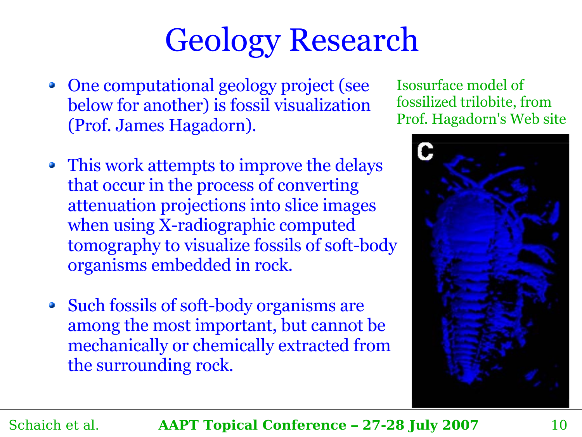# Geology Research

- One computational geology project (see below for another) is fossil visualization (Prof. James Hagadorn).
- This work attempts to improve the delays that occur in the process of converting attenuation projections into slice images when using X-radiographic computed tomography to visualize fossils of soft-body organisms embedded in rock.
- Such fossils of soft-body organisms are among the most important, but cannot be mechanically or chemically extracted from the surrounding rock.

Isosurface model of fossilized trilobite, from Prof. Hagadorn's Web site

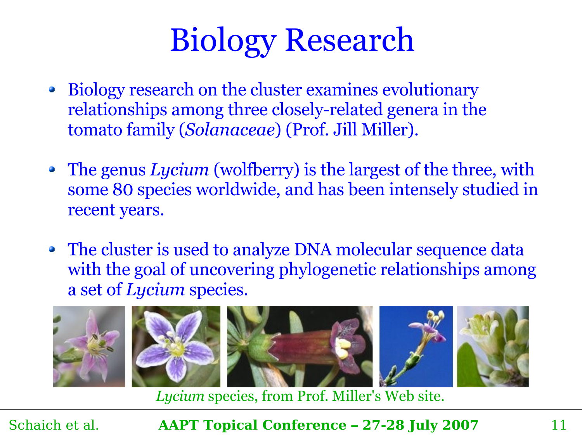# Biology Research

- Biology research on the cluster examines evolutionary relationships among three closely-related genera in the tomato family (*Solanaceae*) (Prof. Jill Miller).
- The genus *Lycium* (wolfberry) is the largest of the three, with some 80 species worldwide, and has been intensely studied in recent years.
- The cluster is used to analyze DNA molecular sequence data with the goal of uncovering phylogenetic relationships among a set of *Lycium* species.



*Lycium* species, from Prof. Miller's Web site.

Schaich et al. **AAPT Topical Conference – 27-28 July 2007** 11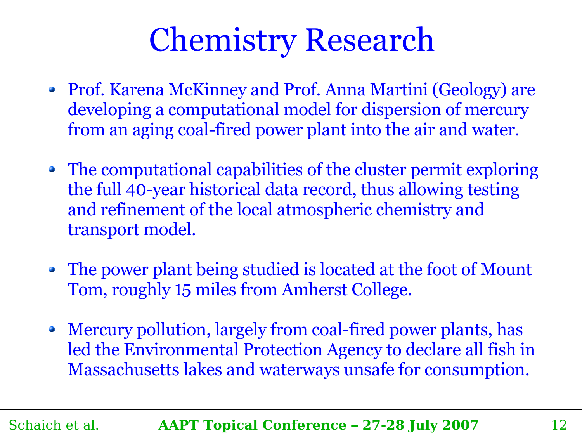## Chemistry Research

- Prof. Karena McKinney and Prof. Anna Martini (Geology) are developing a computational model for dispersion of mercury from an aging coal-fired power plant into the air and water.
- The computational capabilities of the cluster permit exploring the full 40-year historical data record, thus allowing testing and refinement of the local atmospheric chemistry and transport model.
- The power plant being studied is located at the foot of Mount Tom, roughly 15 miles from Amherst College.
- Mercury pollution, largely from coal-fired power plants, has led the Environmental Protection Agency to declare all fish in Massachusetts lakes and waterways unsafe for consumption.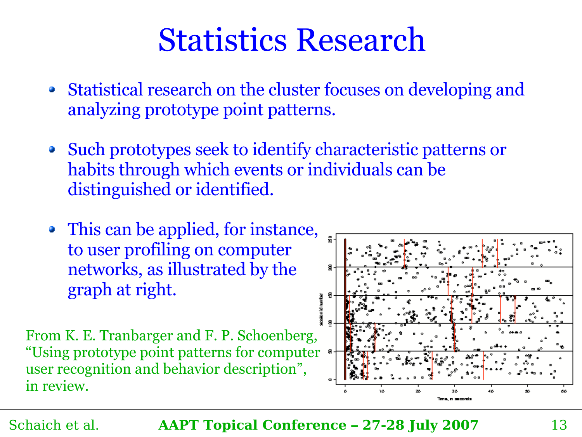### Statistics Research

- Statistical research on the cluster focuses on developing and analyzing prototype point patterns.
- Such prototypes seek to identify characteristic patterns or habits through which events or individuals can be distinguished or identified.
- This can be applied, for instance, to user profiling on computer networks, as illustrated by the graph at right.

From K. E. Tranbarger and F. P. Schoenberg, "Using prototype point patterns for computer user recognition and behavior description" , in review.

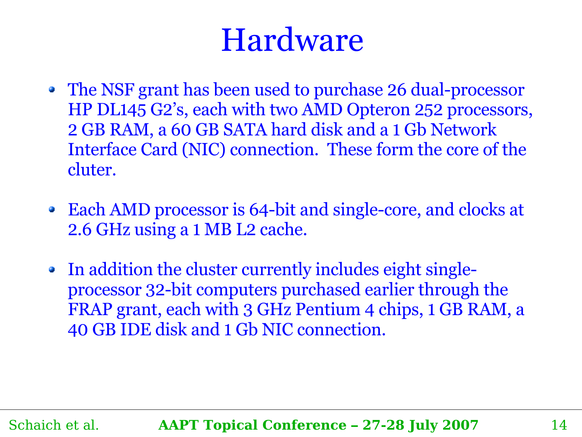### Hardware

- The NSF grant has been used to purchase 26 dual-processor HP DL145 G2's, each with two AMD Opteron 252 processors, 2 GB RAM, a 60 GB SATA hard disk and a 1 Gb Network Interface Card (NIC) connection. These form the core of the cluter.
- Each AMD processor is 64-bit and single-core, and clocks at  $\mathcal{L}$ 2.6 GHz using a 1 MB L2 cache.
- In addition the cluster currently includes eight single- $\mathcal{L}$ processor 32-bit computers purchased earlier through the FRAP grant, each with 3 GHz Pentium 4 chips, 1 GB RAM, a 40 GB IDE disk and 1 Gb NIC connection.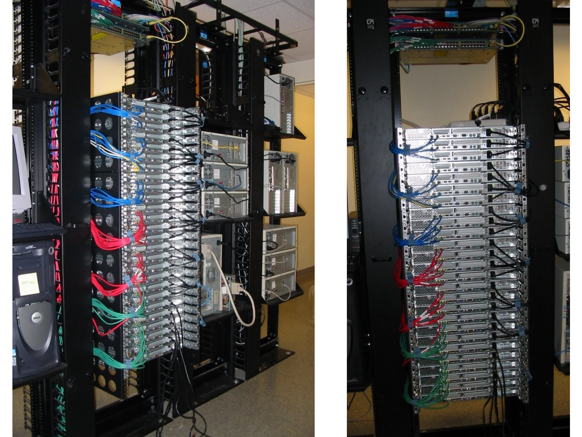

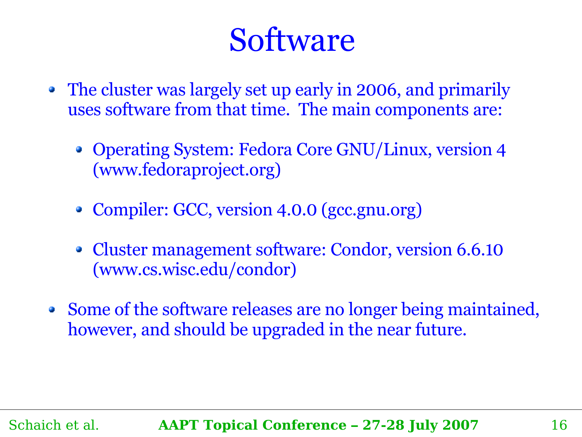### Software

- The cluster was largely set up early in 2006, and primarily uses software from that time. The main components are:
	- Operating System: Fedora Core GNU/Linux, version 4 (www.fedoraproject.org)
	- Compiler: GCC, version 4.0.0 (gcc.gnu.org)
	- Cluster management software: Condor, version 6.6.10 (www.cs.wisc.edu/condor)
- Some of the software releases are no longer being maintained, however, and should be upgraded in the near future.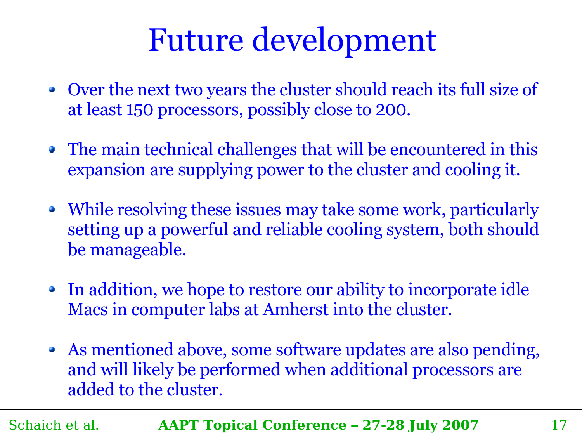## Future development

- Over the next two years the cluster should reach its full size of at least 150 processors, possibly close to 200.
- The main technical challenges that will be encountered in this expansion are supplying power to the cluster and cooling it.
- While resolving these issues may take some work, particularly setting up a powerful and reliable cooling system, both should be manageable.
- In addition, we hope to restore our ability to incorporate idle Macs in computer labs at Amherst into the cluster.
- As mentioned above, some software updates are also pending, and will likely be performed when additional processors are added to the cluster.